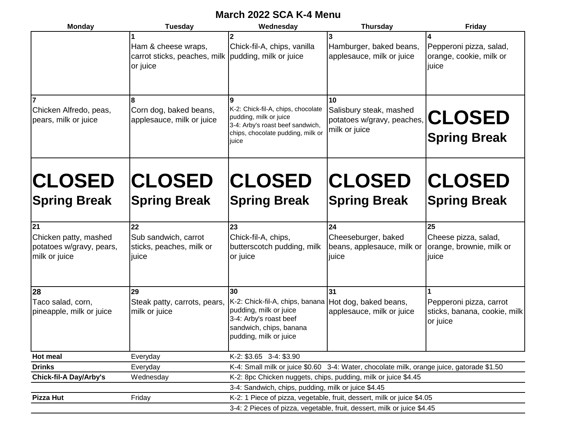## **March 2022 SCA K-4 Menu**

| <b>Monday</b>                                                            | <b>Tuesday</b>                                                                         | Wednesday                                                                                                                                                            | <b>Thursday</b>                                                                           | Friday                                                              |  |
|--------------------------------------------------------------------------|----------------------------------------------------------------------------------------|----------------------------------------------------------------------------------------------------------------------------------------------------------------------|-------------------------------------------------------------------------------------------|---------------------------------------------------------------------|--|
|                                                                          | Ham & cheese wraps,<br>carrot sticks, peaches, milk pudding, milk or juice<br>or juice | Chick-fil-A, chips, vanilla                                                                                                                                          | Hamburger, baked beans,<br>applesauce, milk or juice                                      | Pepperoni pizza, salad,<br>orange, cookie, milk or<br>juice         |  |
| Chicken Alfredo, peas,<br>pears, milk or juice                           | 8<br>Corn dog, baked beans,<br>applesauce, milk or juice                               | 9<br>K-2: Chick-fil-A, chips, chocolate<br>pudding, milk or juice<br>3-4: Arby's roast beef sandwich,<br>chips, chocolate pudding, milk or<br>juice                  | 10<br>Salisbury steak, mashed<br>potatoes w/gravy, peaches,<br>milk or juice              | <b>CLOSED</b><br><b>Spring Break</b>                                |  |
| <b>CLOSED</b>                                                            | <b>CLOSED</b>                                                                          | <b>CLOSED</b>                                                                                                                                                        | <b>CLOSED</b>                                                                             | <b>CLOSED</b>                                                       |  |
| <b>Spring Break</b>                                                      | <b>Spring Break</b>                                                                    | <b>Spring Break</b>                                                                                                                                                  | <b>Spring Break</b>                                                                       | <b>Spring Break</b>                                                 |  |
| 21<br>Chicken patty, mashed<br>potatoes w/gravy, pears,<br>milk or juice | 22<br>Sub sandwich, carrot<br>sticks, peaches, milk or<br>juice                        | 23<br>Chick-fil-A, chips,<br>butterscotch pudding, milk<br>or juice                                                                                                  | 24<br>Cheeseburger, baked<br>beans, applesauce, milk or<br>juice                          | 25<br>Cheese pizza, salad,<br>orange, brownie, milk or<br>juice     |  |
| 28<br>Taco salad, corn,<br>pineapple, milk or juice                      | 29<br>Steak patty, carrots, pears,<br>milk or juice                                    | 30<br>K-2: Chick-fil-A, chips, banana Hot dog, baked beans,<br>pudding, milk or juice<br>3-4: Arby's roast beef<br>sandwich, chips, banana<br>pudding, milk or juice | 31<br>applesauce, milk or juice                                                           | Pepperoni pizza, carrot<br>sticks, banana, cookie, milk<br>or juice |  |
| Hot meal                                                                 | Everyday                                                                               | K-2: \$3.65 3-4: \$3.90                                                                                                                                              |                                                                                           |                                                                     |  |
| <b>Drinks</b>                                                            | Everyday                                                                               |                                                                                                                                                                      | K-4: Small milk or juice \$0.60 3-4: Water, chocolate milk, orange juice, gatorade \$1.50 |                                                                     |  |
| <b>Chick-fil-A Day/Arby's</b>                                            | Wednesday                                                                              | K-2: 8pc Chicken nuggets, chips, pudding, milk or juice \$4.45                                                                                                       |                                                                                           |                                                                     |  |
|                                                                          |                                                                                        | 3-4: Sandwich, chips, pudding, milk or juice \$4.45                                                                                                                  |                                                                                           |                                                                     |  |
| Pizza Hut                                                                | Friday                                                                                 | K-2: 1 Piece of pizza, vegetable, fruit, dessert, milk or juice \$4.05                                                                                               |                                                                                           |                                                                     |  |
|                                                                          |                                                                                        |                                                                                                                                                                      | 3-4: 2 Pieces of pizza, vegetable, fruit, dessert, milk or juice \$4.45                   |                                                                     |  |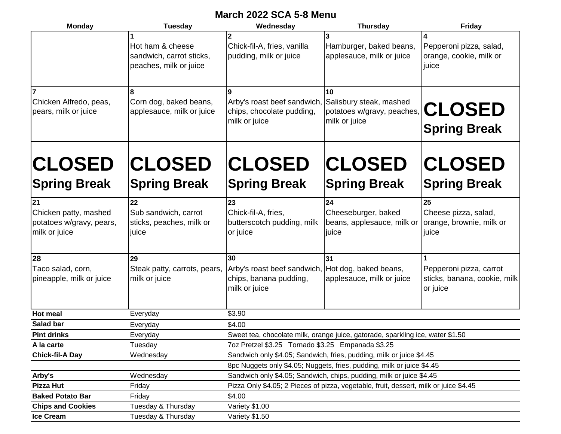## **March 2022 SCA 5-8 Menu**

| <b>Monday</b>                                                      | <b>Tuesday</b>                                                                                                                | Wednesday                                                                             | <b>Thursday</b>                                                                     | <b>Friday</b>                                                       |  |  |
|--------------------------------------------------------------------|-------------------------------------------------------------------------------------------------------------------------------|---------------------------------------------------------------------------------------|-------------------------------------------------------------------------------------|---------------------------------------------------------------------|--|--|
|                                                                    | Hot ham & cheese<br>sandwich, carrot sticks,<br>peaches, milk or juice                                                        | Chick-fil-A, fries, vanilla<br>pudding, milk or juice                                 | Hamburger, baked beans,<br>applesauce, milk or juice                                | Pepperoni pizza, salad,<br>orange, cookie, milk or<br>juice         |  |  |
| Chicken Alfredo, peas,<br>pears, milk or juice                     | 8<br>Corn dog, baked beans,<br>applesauce, milk or juice                                                                      | g<br>Arby's roast beef sandwich,<br>chips, chocolate pudding,<br>milk or juice        | <b>10</b><br>Salisbury steak, mashed<br>potatoes w/gravy, peaches,<br>milk or juice | <b>CLOSED</b><br><b>Spring Break</b>                                |  |  |
| <b>CLOSED</b><br><b>Spring Break</b>                               | <b>CLOSED</b><br><b>Spring Break</b>                                                                                          | <b>CLOSED</b><br><b>Spring Break</b>                                                  | <b>CLOSED</b><br><b>Spring Break</b>                                                | <b>CLOSED</b><br><b>Spring Break</b>                                |  |  |
| 21                                                                 | 22                                                                                                                            | 23                                                                                    | 24                                                                                  | 25                                                                  |  |  |
| Chicken patty, mashed<br>potatoes w/gravy, pears,<br>milk or juice | Sub sandwich, carrot<br>sticks, peaches, milk or<br>juice                                                                     | Chick-fil-A, fries,<br>butterscotch pudding, milk<br>or juice                         | Cheeseburger, baked<br>beans, applesauce, milk or<br>juice                          | Cheese pizza, salad,<br>orange, brownie, milk or<br>juice           |  |  |
| 28                                                                 |                                                                                                                               | 30                                                                                    | 31                                                                                  |                                                                     |  |  |
| Taco salad, corn,<br>pineapple, milk or juice                      | 29<br>Arby's roast beef sandwich,<br>Steak patty, carrots, pears,<br>milk or juice<br>chips, banana pudding,<br>milk or juice |                                                                                       | Hot dog, baked beans,<br>applesauce, milk or juice                                  | Pepperoni pizza, carrot<br>sticks, banana, cookie, milk<br>or juice |  |  |
| <b>Hot meal</b>                                                    | Everyday                                                                                                                      | \$3.90                                                                                |                                                                                     |                                                                     |  |  |
| Salad bar                                                          | Everyday                                                                                                                      | \$4.00                                                                                |                                                                                     |                                                                     |  |  |
| <b>Pint drinks</b>                                                 | Everyday                                                                                                                      | Sweet tea, chocolate milk, orange juice, gatorade, sparkling ice, water \$1.50        |                                                                                     |                                                                     |  |  |
| A la carte                                                         | Tuesday                                                                                                                       | 7oz Pretzel \$3.25 Tornado \$3.25 Empanada \$3.25                                     |                                                                                     |                                                                     |  |  |
| <b>Chick-fil-A Day</b>                                             | Wednesday                                                                                                                     | Sandwich only \$4.05; Sandwich, fries, pudding, milk or juice \$4.45                  |                                                                                     |                                                                     |  |  |
|                                                                    |                                                                                                                               | 8pc Nuggets only \$4.05; Nuggets, fries, pudding, milk or juice \$4.45                |                                                                                     |                                                                     |  |  |
| Arby's                                                             | Wednesday                                                                                                                     | Sandwich only \$4.05; Sandwich, chips, pudding, milk or juice \$4.45                  |                                                                                     |                                                                     |  |  |
| <b>Pizza Hut</b>                                                   | Friday                                                                                                                        | Pizza Only \$4.05; 2 Pieces of pizza, vegetable, fruit, dessert, milk or juice \$4.45 |                                                                                     |                                                                     |  |  |
| <b>Baked Potato Bar</b>                                            | Friday                                                                                                                        | \$4.00                                                                                |                                                                                     |                                                                     |  |  |
| <b>Chips and Cookies</b>                                           | Tuesday & Thursday                                                                                                            | Variety \$1.00                                                                        |                                                                                     |                                                                     |  |  |
| <b>Ice Cream</b>                                                   | Tuesday & Thursday                                                                                                            | Variety \$1.50                                                                        |                                                                                     |                                                                     |  |  |